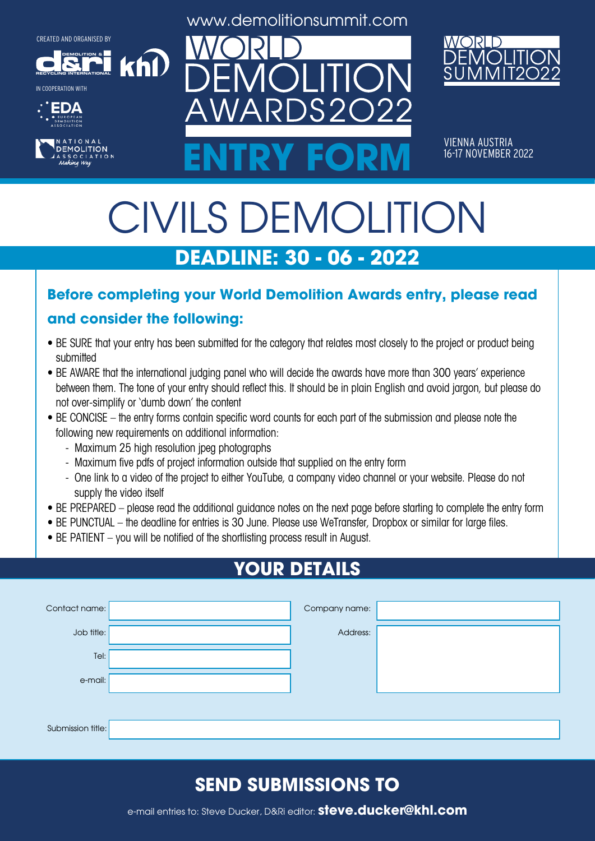**DEMOLITION &**













VIENNA AUSTRIA<br>16-17 NOVEMBER 2022 ENTRY FORM **16-17 NOVEMBER 2022** 

# CIVILS DEMOLITION **DEADLINE: 30 - 06 - 2022**

#### **Before completing your World Demolition Awards entry, please read**

#### **and consider the following:**

khl

- BE SURE that your entry has been submitted for the category that relates most closely to the project or product being submitted
- BE AWARE that the international judging panel who will decide the awards have more than 300 years' experience between them. The tone of your entry should reflect this. It should be in plain English and avoid jargon, but please do not over-simplify or 'dumb down' the content
- BE CONCISE the entry forms contain specific word counts for each part of the submission and please note the following new requirements on additional information:
	- Maximum 25 high resolution jpeg photographs
	- Maximum five pdfs of project information outside that supplied on the entry form
	- One link to a video of the project to either YouTube, a company video channel or your website. Please do not supply the video itself
- BE PREPARED please read the additional guidance notes on the next page before starting to complete the entry form
- BE PUNCTUAL the deadline for entries is 30 June. Please use WeTransfer, Dropbox or similar for large files.
- BE PATIENT you will be notified of the shortlisting process result in August.

# **YOUR DETAILS**

| Contact name:     | Company name: |  |
|-------------------|---------------|--|
| Job title:        | Address:      |  |
| Tel:              |               |  |
| e-mail:           |               |  |
|                   |               |  |
| Submission title: |               |  |

## **SEND SUBMISSIONS TO**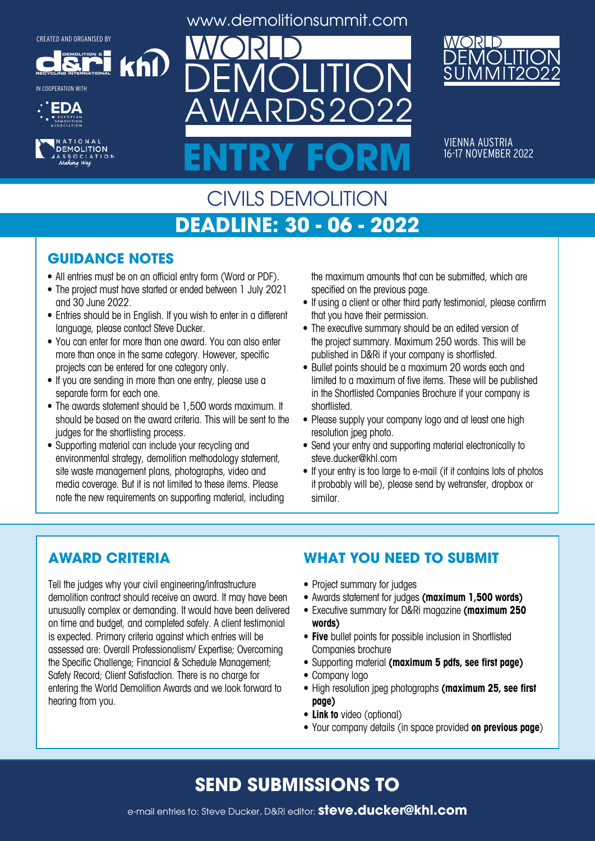**DEMOLITION &**

khl

**RECYCLING INTERNATIONAL** IN COOPERATION WITH





www.demolitionsummit.com



VIENNA AUSTRIA 16-17 NOVEMBER 2022

## CIVILS DEMOLITION **DEADLINE: 30 - 06 - 2022**

**ENTRY FORM**

 $S2$ 

#### **GUIDANCE NOTES**

- All entries must be on an official entry form (Word or PDF).
- The project must have started or ended between 1 July 2021 and 30 June 2022.
- Entries should be in English. If you wish to enter in a different language, please contact Steve Ducker.
- You can enter for more than one award. You can also enter more than once in the same category. However, specific projects can be entered for one category only.
- If you are sending in more than one entry, please use a separate form for each one.
- The awards statement should be 1,500 words maximum. It should be based on the award criteria. This will be sent to the judges for the shortlisting process.
- Supporting material can include your recycling and environmental strategy, demolition methodology statement, site waste management plans, photographs, video and media coverage. But it is not limited to these items. Please note the new requirements on supporting material, including

the maximum amounts that can be submitted, which are specified on the previous page.

- If using a client or other third party testimonial, please confirm that you have their permission.
- The executive summary should be an edited version of the project summary. Maximum 250 words. This will be published in D&Ri if your company is shortlisted.
- Bullet points should be a maximum 20 words each and limited to a maximum of five items. These will be published in the Shortlisted Companies Brochure if your company is shortlisted.
- Please supply your company logo and at least one high resolution jpeg photo.
- Send your entry and supporting material electronically to steve.ducker@khl.com
- If your entry is too large to e-mail (if it contains lots of photos it probably will be), please send by wetransfer, dropbox or similar.

#### **AWARD CRITERIA**

Tell the judges why your civil engineering/infrastructure demolition contract should receive an award. It may have been unusually complex or demanding. It would have been delivered on time and budget, and completed safely. A client testimonial is expected. Primary criteria against which entries will be assessed are: Overall Professionalism/ Expertise; Overcoming the Specific Challenge; Financial & Schedule Management; Safety Record; Client Satisfaction. There is no charge for entering the World Demolition Awards and we look forward to hearing from you.

#### **WHAT YOU NEED TO SUBMIT**

- Project summary for judges
- • Awards statement for judges **(maximum 1,500 words)**
- • Executive summary for D&Ri magazine **(maximum 250 words)**
- **• Five** bullet points for possible inclusion in Shortlisted Companies brochure
- • Supporting material **(maximum 5 pdfs, see first page)**
- Company logo
- • High resolution jpeg photographs **(maximum 25, see first page)**
- **• Link to** video (optional)
- • Your company details (in space provided **on previous page**)

## **SEND SUBMISSIONS TO**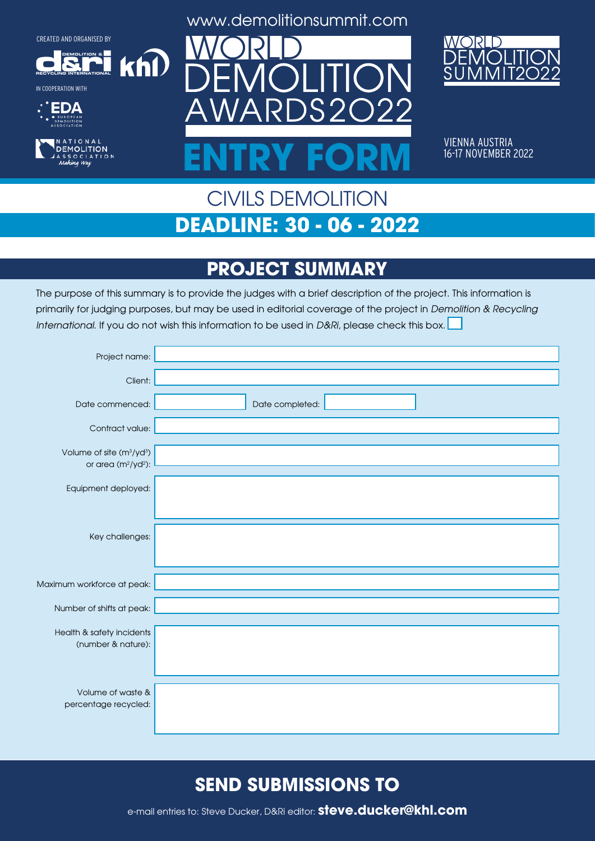**DEMOLITION &**

 $k$ h $\Omega$ 

**RECYCLING INTERNATIONAL**











VIENNA AUSTRIA 16-17 NOVEMBER 2022

## CIVILS DEMOLITION **DEADLINE: 30 - 06 - 2022**

**ENTRY FORM**

## **PROJECT SUMMARY**

The purpose of this summary is to provide the judges with a brief description of the project. This information is primarily for judging purposes, but may be used in editorial coverage of the project in Demolition & Recycling International. If you do not wish this information to be used in D&Ri, please check this box.

| Project name:                                                               |                 |
|-----------------------------------------------------------------------------|-----------------|
| Client:                                                                     |                 |
| Date commenced:                                                             | Date completed: |
| Contract value:                                                             |                 |
| Volume of site (m <sup>3</sup> /yd <sup>3</sup> )<br>or area $(m^2/yd^2)$ : |                 |
| Equipment deployed:                                                         |                 |
|                                                                             |                 |
| Key challenges:                                                             |                 |
|                                                                             |                 |
| Maximum workforce at peak:                                                  |                 |
| Number of shifts at peak:                                                   |                 |
| Health & safety incidents                                                   |                 |
| (number & nature):                                                          |                 |
|                                                                             |                 |
| Volume of waste &<br>percentage recycled:                                   |                 |
|                                                                             |                 |

## **SEND SUBMISSIONS TO**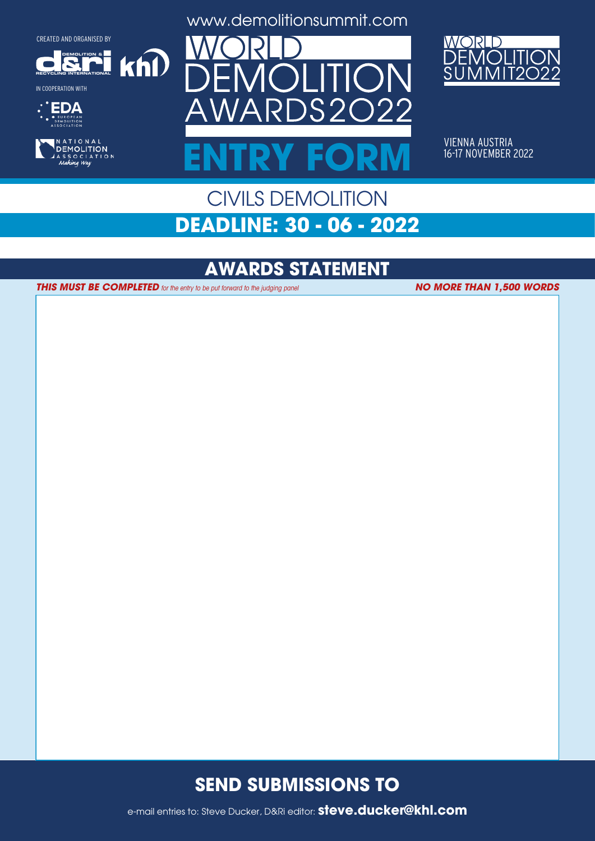**DEMOLITION &**

 $k$ h $\Omega$ 

**RECYCLING INTERNATIONAL**

IN COOPERATION WITH





www.demolitionsummit.com



VIENNA AUSTRIA 16-17 NOVEMBER 2022

## CIVILS DEMOLITION **DEADLINE: 30 - 06 - 2022**

**ENTRY FORM**

## **AWARDS STATEMENT**

**THIS MUST BE COMPLETED** for the entry to be put forward to the judging panel

**NO MORE THAN 1,500 WORDS**

## **SEND SUBMISSIONS TO**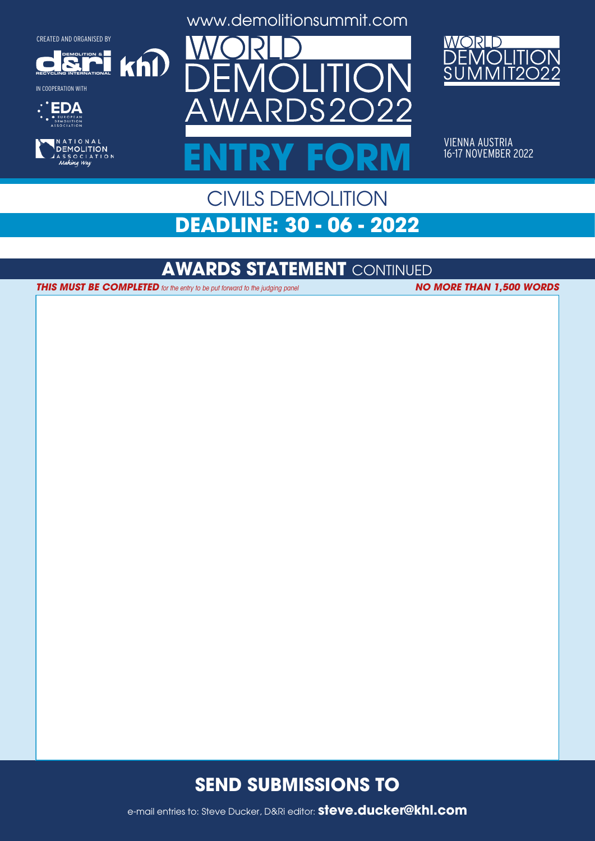**DEMOLITION &**

 $k$ h $\Omega$ 

**RECYCLING INTERNATIONAL**











VIENNA AUSTRIA 16-17 NOVEMBER 2022

## CIVILS DEMOLITION **DEADLINE: 30 - 06 - 2022**

**ENTRY FORM**

## **AWARDS STATEMENT** CONTINUED

**THIS MUST BE COMPLETED** for the entry to be put forward to the judging panel **NO MORE THAN 1,500 WORDS** 

#### **SEND SUBMISSIONS TO**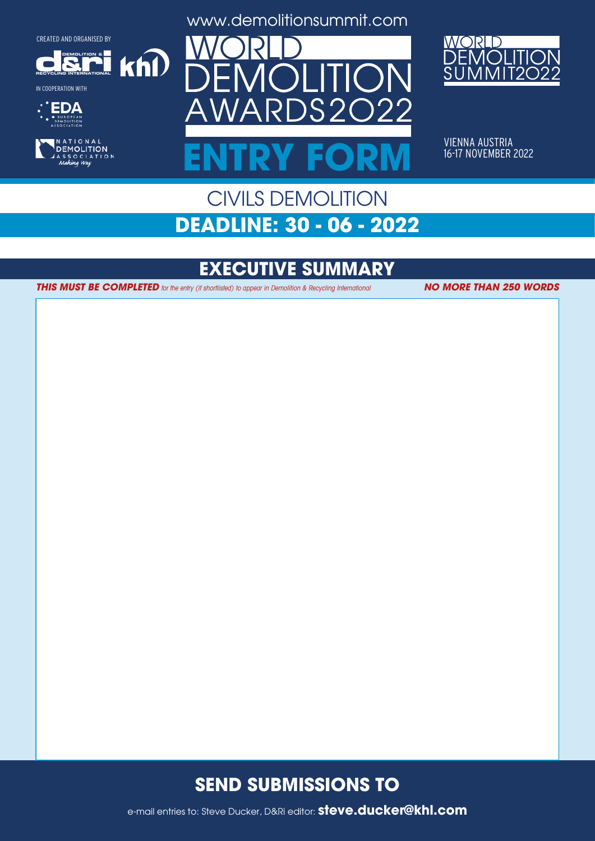**DEMOLITION &**

 $k$ h $\Omega$ 

**RECYCLING INTERNATIONAL**







www.demolitionsummit.com



VIENNA AUSTRIA 16-17 NOVEMBER 2022

## CIVILS DEMOLITION **DEADLINE: 30 - 06 - 2022**

**ENTRY FORM**

# **EXECUTIVE SUMMARY**

**THIS MUST BE COMPLETED** for the entry (if shortlisted) to appear in Demolition & Recycling International **NO MORE THAN 250 WORDS** 

## **SEND SUBMISSIONS TO**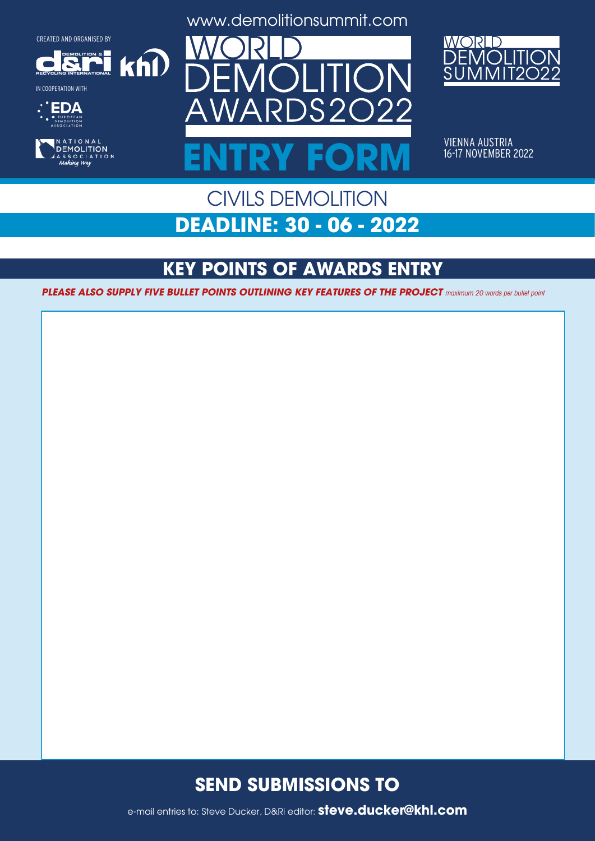**DEMOLITION &**

 $k$ n $\Omega$ 



IN COOPERATION WITH









VIENNA AUSTRIA 16-17 NOVEMBER 2022

## CIVILS DEMOLITION **DEADLINE: 30 - 06 - 2022**

**ENTRY FORM**

# **KEY POINTS OF AWARDS ENTRY**

PLEASE ALSO SUPPLY FIVE BULLET POINTS OUTLINING KEY FEATURES OF THE PROJECT maximum 20 words per bullet point

## **SEND SUBMISSIONS TO**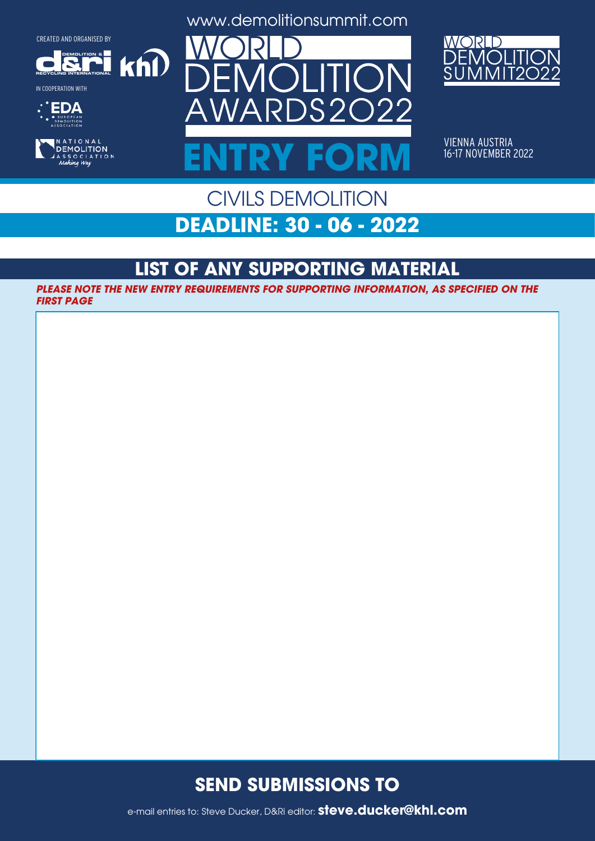$k$ n $\Omega$ 

**DEMOLITION &**



IN COOPERATION WITH





www.demolitionsummit.com



VIENNA AUSTRIA 16-17 NOVEMBER 2022

## CIVILS DEMOLITION **DEADLINE: 30 - 06 - 2022**

**ENTRY FORM**

## **LIST OF ANY SUPPORTING MATERIAL**

**PLEASE NOTE THE NEW ENTRY REQUIREMENTS FOR SUPPORTING INFORMATION, AS SPECIFIED ON THE FIRST PAGE**

## **SEND SUBMISSIONS TO**